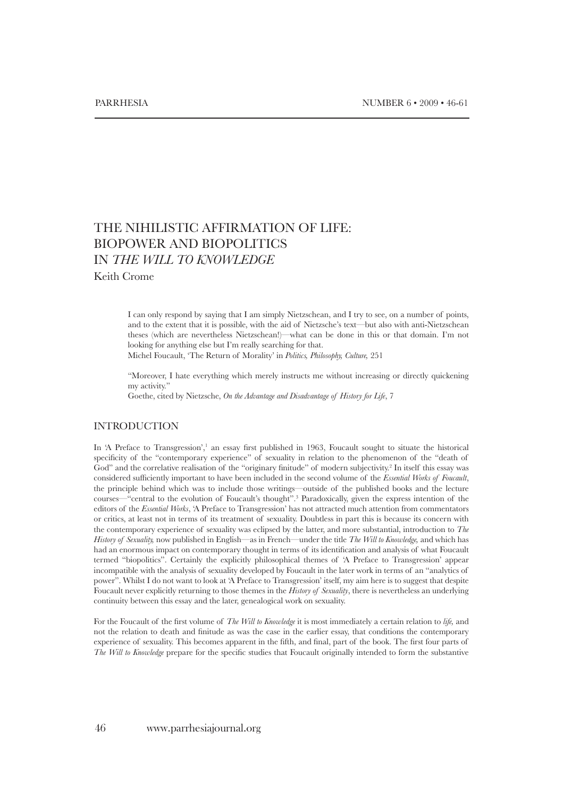# THE NIHILISTIC AFFIRMATION OF LIFE: BIOPOWER AND BIOPOLITICS IN *THE WILL TO KNOWLEDGE*

Keith Crome

I can only respond by saying that I am simply Nietzschean, and I try to see, on a number of points, and to the extent that it is possible, with the aid of Nietzsche's text—but also with anti-Nietzschean theses (which are nevertheless Nietzschean!)—what can be done in this or that domain. I'm not looking for anything else but I'm really searching for that.

Michel Foucault, 'The Return of Morality' in *Politics, Philosophy, Culture,* 251

"Moreover, I hate everything which merely instructs me without increasing or directly quickening my activity."

Goethe, cited by Nietzsche, *On the Advantage and Disadvantage of History for Life*, 7

## **INTRODUCTION**

In 'A Preface to Transgression',<sup>1</sup> an essay first published in 1963, Foucault sought to situate the historical specificity of the "contemporary experience" of sexuality in relation to the phenomenon of the "death of God" and the correlative realisation of the "originary finitude" of modern subjectivity.<sup>2</sup> In itself this essay was considered sufficiently important to have been included in the second volume of the *Essential Works of Foucault*, the principle behind which was to include those writings—outside of the published books and the lecture courses—"central to the evolution of Foucault's thought".<sup>3</sup> Paradoxically, given the express intention of the editors of the *Essential Works*, 'A Preface to Transgression' has not attracted much attention from commentators or critics, at least not in terms of its treatment of sexuality. Doubtless in part this is because its concern with the contemporary experience of sexuality was eclipsed by the latter, and more substantial, introduction to *The History of Sexuality,* now published in English—as in French—under the title *The Will to Knowledge,* and which has had an enormous impact on contemporary thought in terms of its identification and analysis of what Foucault termed "biopolitics". Certainly the explicitly philosophical themes of 'A Preface to Transgression' appear incompatible with the analysis of sexuality developed by Foucault in the later work in terms of an "analytics of power". Whilst I do not want to look at 'A Preface to Transgression' itself, my aim here is to suggest that despite Foucault never explicitly returning to those themes in the *History of Sexuality*, there is nevertheless an underlying continuity between this essay and the later, genealogical work on sexuality.

For the Foucault of the first volume of *The Will to Knowledge* it is most immediately a certain relation to *life,* and not the relation to death and finitude as was the case in the earlier essay, that conditions the contemporary experience of sexuality. This becomes apparent in the fifth, and final, part of the book. The first four parts of *The Will to Knowledge* prepare for the specific studies that Foucault originally intended to form the substantive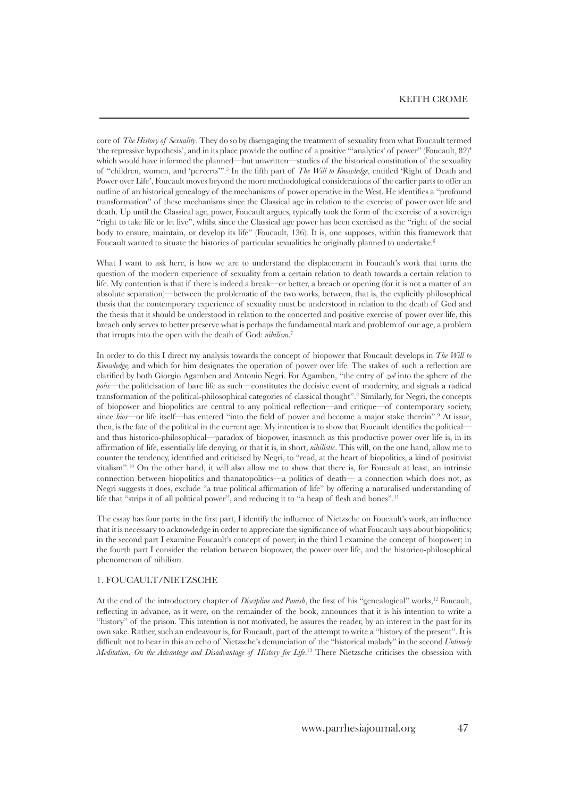core of *The History of Sexuality*. They do so by disengaging the treatment of sexuality from what Foucault termed 'the repressive hypothesis', and in its place provide the outline of a positive "'analytics' of power" (Foucault,  $82$ )<sup>4</sup> which would have informed the planned—but unwritten—studies of the historical constitution of the sexuality of "children, women, and 'perverts'".5 In the fifth part of *The Will to Knowledge*, entitled 'Right of Death and Power over Life', Foucault moves beyond the more methodological considerations of the earlier parts to offer an outline of an historical genealogy of the mechanisms of power operative in the West. He identifies a "profound transformation" of these mechanisms since the Classical age in relation to the exercise of power over life and death. Up until the Classical age, power, Foucault argues, typically took the form of the exercise of a sovereign "right to take life or let live", whilst since the Classical age power has been exercised as the "right of the social body to ensure, maintain, or develop its life" (Foucault, 136). It is, one supposes, within this framework that Foucault wanted to situate the histories of particular sexualities he originally planned to undertake.<sup>6</sup>

What I want to ask here, is how we are to understand the displacement in Foucault's work that turns the question of the modern experience of sexuality from a certain relation to death towards a certain relation to life. My contention is that if there is indeed a break—or better, a breach or opening (for it is not a matter of an absolute separation)—between the problematic of the two works, between, that is, the explicitly philosophical thesis that the contemporary experience of sexuality must be understood in relation to the death of God and the thesis that it should be understood in relation to the concerted and positive exercise of power over life, this breach only serves to better preserve what is perhaps the fundamental mark and problem of our age, a problem that irrupts into the open with the death of God: *nihilism*. 7

In order to do this I direct my analysis towards the concept of biopower that Foucault develops in *The Will to Knowledge,* and which for him designates the operation of power over life. The stakes of such a reflection are clarified by both Giorgio Agamben and Antonio Negri. For Agamben, "the entry of *zoê* into the sphere of the *polis*—the politicisation of bare life as such—constitutes the decisive event of modernity, and signals a radical transformation of the political-philosophical categories of classical thought".<sup>8</sup> Similarly, for Negri, the concepts of biopower and biopolitics are central to any political reflection—and critique—of contemporary society, since *bios*—or life itself—has entered "into the field of power and become a major stake therein".9 At issue, then, is the fate of the political in the current age. My intention is to show that Foucault identifies the political and thus historico-philosophical—paradox of biopower, inasmuch as this productive power over life is, in its affirmation of life, essentially life denying, or that it is, in short, *nihilistic*. This will, on the one hand, allow me to counter the tendency, identified and criticised by Negri, to "read, at the heart of biopolitics, a kind of positivist vitalism".<sup>10</sup> On the other hand, it will also allow me to show that there is, for Foucault at least, an intrinsic connection between biopolitics and thanatopolitics—a politics of death— a connection which does not, as Negri suggests it does, exclude "a true political affirmation of life" by offering a naturalised understanding of life that "strips it of all political power", and reducing it to "a heap of flesh and bones".<sup>11</sup>

The essay has four parts: in the first part, I identify the influence of Nietzsche on Foucault's work, an influence that it is necessary to acknowledge in order to appreciate the significance of what Foucault says about biopolitics; in the second part I examine Foucault's concept of power; in the third I examine the concept of biopower; in the fourth part I consider the relation between biopower, the power over life, and the historico-philosophical phenomenon of nihilism.

### 1. Foucault/Nietzsche

At the end of the introductory chapter of *Discipline and Punish*, the first of his "genealogical" works,<sup>12</sup> Foucault, reflecting in advance, as it were, on the remainder of the book, announces that it is his intention to write a "history" of the prison. This intention is not motivated, he assures the reader, by an interest in the past for its own sake. Rather, such an endeavour is, for Foucault, part of the attempt to write a "history of the present". It is difficult not to hear in this an echo of Nietzsche's denunciation of the "historical malady" in the second *Untimely Meditation*, *On the Advantage and Disadvantage of History for Life*. 13 There Nietzsche criticises the obsession with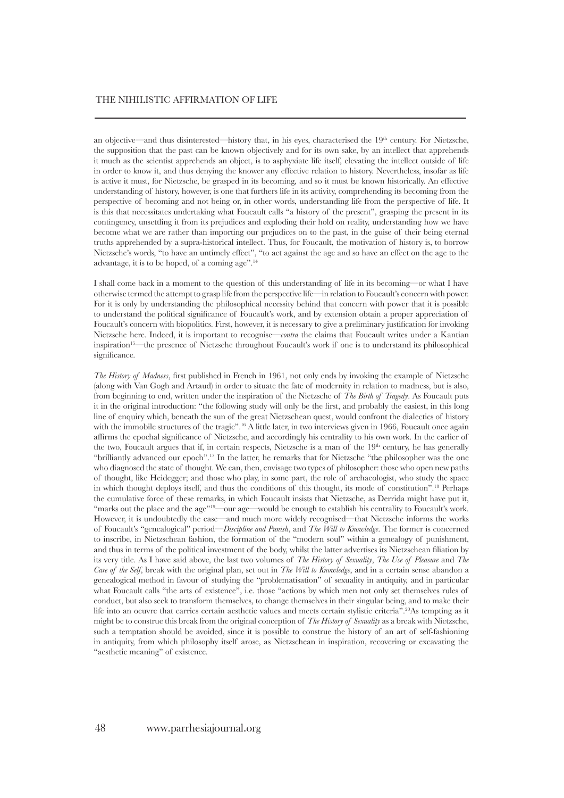an objective—and thus disinterested—history that, in his eyes, characterised the 19<sup>th</sup> century. For Nietzsche, the supposition that the past can be known objectively and for its own sake, by an intellect that apprehends it much as the scientist apprehends an object, is to asphyxiate life itself, elevating the intellect outside of life in order to know it, and thus denying the knower any effective relation to history. Nevertheless, insofar as life is active it must, for Nietzsche, be grasped in its becoming, and so it must be known historically. An effective understanding of history, however, is one that furthers life in its activity, comprehending its becoming from the perspective of becoming and not being or, in other words, understanding life from the perspective of life. It is this that necessitates undertaking what Foucault calls "a history of the present", grasping the present in its contingency, unsettling it from its prejudices and exploding their hold on reality, understanding how we have become what we are rather than importing our prejudices on to the past, in the guise of their being eternal truths apprehended by a supra-historical intellect. Thus, for Foucault, the motivation of history is, to borrow Nietzsche's words, "to have an untimely effect", "to act against the age and so have an effect on the age to the advantage, it is to be hoped, of a coming age".<sup>14</sup>

I shall come back in a moment to the question of this understanding of life in its becoming—or what I have otherwise termed the attempt to grasp life from the perspective life—in relation to Foucault's concern with power. For it is only by understanding the philosophical necessity behind that concern with power that it is possible to understand the political significance of Foucault's work, and by extension obtain a proper appreciation of Foucault's concern with biopolitics. First, however, it is necessary to give a preliminary justification for invoking Nietzsche here. Indeed, it is important to recognise—*contra* the claims that Foucault writes under a Kantian inspiration15—the presence of Nietzsche throughout Foucault's work if one is to understand its philosophical significance.

*The History of Madness*, first published in French in 1961, not only ends by invoking the example of Nietzsche (along with Van Gogh and Artaud) in order to situate the fate of modernity in relation to madness, but is also, from beginning to end, written under the inspiration of the Nietzsche of *The Birth of Tragedy*. As Foucault puts it in the original introduction: "the following study will only be the first, and probably the easiest, in this long line of enquiry which, beneath the sun of the great Nietzschean quest, would confront the dialectics of history with the immobile structures of the tragic".<sup>16</sup> A little later, in two interviews given in 1966, Foucault once again affirms the epochal significance of Nietzsche, and accordingly his centrality to his own work. In the earlier of the two, Foucault argues that if, in certain respects, Nietzsche is a man of the 19<sup>th</sup> century, he has generally "brilliantly advanced our epoch".17 In the latter, he remarks that for Nietzsche "the philosopher was the one who diagnosed the state of thought. We can, then, envisage two types of philosopher: those who open new paths of thought, like Heidegger; and those who play, in some part, the role of archaeologist, who study the space in which thought deploys itself, and thus the conditions of this thought, its mode of constitution".<sup>18</sup> Perhaps the cumulative force of these remarks, in which Foucault insists that Nietzsche, as Derrida might have put it, "marks out the place and the age"<sup>19</sup>—our age—would be enough to establish his centrality to Foucault's work. However, it is undoubtedly the case—and much more widely recognised—that Nietzsche informs the works of Foucault's "genealogical" period—*Discipline and Punish*, and *The Will to Knowledge*. The former is concerned to inscribe, in Nietzschean fashion, the formation of the "modern soul" within a genealogy of punishment, and thus in terms of the political investment of the body, whilst the latter advertises its Nietzschean filiation by its very title. As I have said above, the last two volumes of *The History of Sexuality*, *The Use of Pleasure* and *The Care of the Self*, break with the original plan, set out in *The Will to Knowledge*, and in a certain sense abandon a genealogical method in favour of studying the "problematisation" of sexuality in antiquity, and in particular what Foucault calls "the arts of existence", i.e. those "actions by which men not only set themselves rules of conduct, but also seek to transform themselves, to change themselves in their singular being, and to make their life into an oeuvre that carries certain aesthetic values and meets certain stylistic criteria".<sup>20</sup>As tempting as it might be to construe this break from the original conception of *The History of Sexuality* as a break with Nietzsche, such a temptation should be avoided, since it is possible to construe the history of an art of self-fashioning in antiquity, from which philosophy itself arose, as Nietzschean in inspiration, recovering or excavating the "aesthetic meaning" of existence.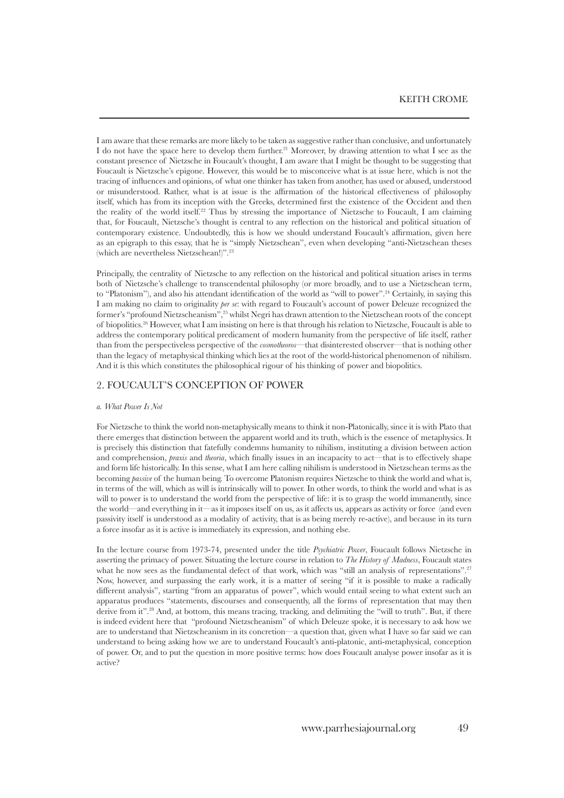I am aware that these remarks are more likely to be taken as suggestive rather than conclusive, and unfortunately I do not have the space here to develop them further.21 Moreover, by drawing attention to what I see as the constant presence of Nietzsche in Foucault's thought, I am aware that I might be thought to be suggesting that Foucault is Nietzsche's epigone. However, this would be to misconceive what is at issue here, which is not the tracing of influences and opinions, of what one thinker has taken from another, has used or abused, understood or misunderstood. Rather, what is at issue is the affirmation of the historical effectiveness of philosophy itself, which has from its inception with the Greeks, determined first the existence of the Occident and then the reality of the world itself.22 Thus by stressing the importance of Nietzsche to Foucault, I am claiming that, for Foucault, Nietzsche's thought is central to any reflection on the historical and political situation of contemporary existence. Undoubtedly, this is how we should understand Foucault's affirmation, given here as an epigraph to this essay, that he is "simply Nietzschean", even when developing "anti-Nietzschean theses (which are nevertheless Nietzschean!)".<sup>23</sup>

Principally, the centrality of Nietzsche to any reflection on the historical and political situation arises in terms both of Nietzsche's challenge to transcendental philosophy (or more broadly, and to use a Nietzschean term, to "Platonism"), and also his attendant identification of the world as "will to power".<sup>24</sup> Certainly, in saying this I am making no claim to originality *per se*: with regard to Foucault's account of power Deleuze recognized the former's "profound Nietzscheanism",25 whilst Negri has drawn attention to the Nietzschean roots of the concept of biopolitics.<sup>26</sup> However, what I am insisting on here is that through his relation to Nietzsche, Foucault is able to address the contemporary political predicament of modern humanity from the perspective of life itself, rather than from the perspectiveless perspective of the *cosmotheoros*—that disinterested observer—that is nothing other than the legacy of metaphysical thinking which lies at the root of the world-historical phenomenon of nihilism. And it is this which constitutes the philosophical rigour of his thinking of power and biopolitics.

### 2. Foucault's Conception of Power

#### *a. What Power Is Not*

For Nietzsche to think the world non-metaphysically means to think it non-Platonically, since it is with Plato that there emerges that distinction between the apparent world and its truth, which is the essence of metaphysics. It is precisely this distinction that fatefully condemns humanity to nihilism, instituting a division between action and comprehension, *praxis* and *theoria*, which finally issues in an incapacity to act—that is to effectively shape and form life historically. In this sense, what I am here calling nihilism is understood in Nietzschean terms as the becoming *passive* of the human being. To overcome Platonism requires Nietzsche to think the world and what is, in terms of the will, which as will is intrinsically will to power. In other words, to think the world and what is as will to power is to understand the world from the perspective of life: it is to grasp the world immanently, since the world—and everything in it—as it imposes itself on us, as it affects us, appears as activity or force (and even passivity itself is understood as a modality of activity, that is as being merely re-active), and because in its turn a force insofar as it is active is immediately its expression, and nothing else.

In the lecture course from 1973-74, presented under the title *Psychiatric Power*, Foucault follows Nietzsche in asserting the primacy of power. Situating the lecture course in relation to *The History of Madness*, Foucault states what he now sees as the fundamental defect of that work, which was "still an analysis of representations".<sup>27</sup> Now, however, and surpassing the early work, it is a matter of seeing "if it is possible to make a radically different analysis", starting "from an apparatus of power", which would entail seeing to what extent such an apparatus produces "statements, discourses and consequently, all the forms of representation that may then derive from it".<sup>28</sup> And, at bottom, this means tracing, tracking, and delimiting the "will to truth". But, if there is indeed evident here that "profound Nietzscheanism" of which Deleuze spoke, it is necessary to ask how we are to understand that Nietzscheanism in its concretion—a question that, given what I have so far said we can understand to being asking how we are to understand Foucault's anti-platonic, anti-metaphysical, conception of power. Or, and to put the question in more positive terms: how does Foucault analyse power insofar as it is active?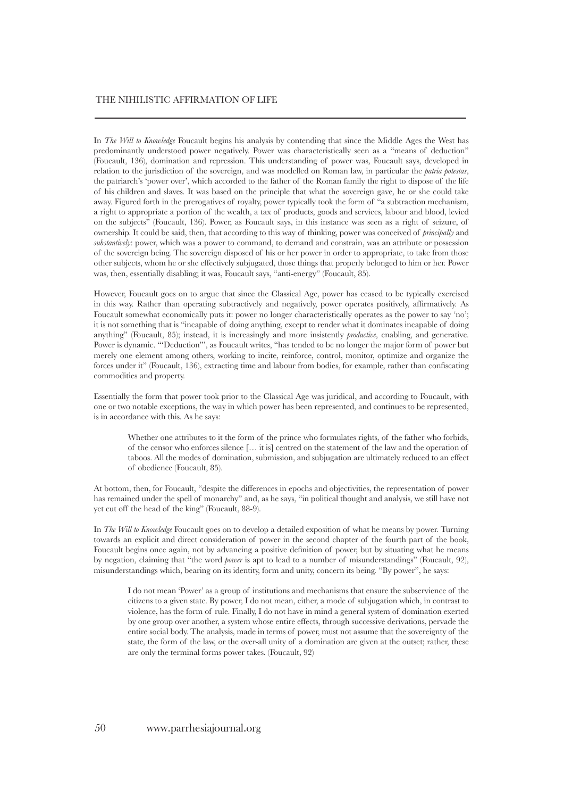### THE NIHILISTIC AFFIRMATION OF LIFE

In *The Will to Knowledge* Foucault begins his analysis by contending that since the Middle Ages the West has predominantly understood power negatively. Power was characteristically seen as a "means of deduction" (Foucault, 136), domination and repression. This understanding of power was, Foucault says, developed in relation to the jurisdiction of the sovereign, and was modelled on Roman law, in particular the *patria potestas*, the patriarch's 'power over', which accorded to the father of the Roman family the right to dispose of the life of his children and slaves. It was based on the principle that what the sovereign gave, he or she could take away. Figured forth in the prerogatives of royalty, power typically took the form of "a subtraction mechanism, a right to appropriate a portion of the wealth, a tax of products, goods and services, labour and blood, levied on the subjects" (Foucault, 136). Power, as Foucault says, in this instance was seen as a right of seizure, of ownership. It could be said, then, that according to this way of thinking, power was conceived of *principally* and *substantively*: power, which was a power to command, to demand and constrain, was an attribute or possession of the sovereign being. The sovereign disposed of his or her power in order to appropriate, to take from those other subjects, whom he or she effectively subjugated, those things that properly belonged to him or her. Power was, then, essentially disabling; it was, Foucault says, "anti-energy" (Foucault, 85).

However, Foucault goes on to argue that since the Classical Age, power has ceased to be typically exercised in this way. Rather than operating subtractively and negatively, power operates positively, affirmatively. As Foucault somewhat economically puts it: power no longer characteristically operates as the power to say 'no'; it is not something that is "incapable of doing anything, except to render what it dominates incapable of doing anything" (Foucault, 85); instead, it is increasingly and more insistently *productive*, enabling, and generative. Power is dynamic. "'Deduction'", as Foucault writes, "has tended to be no longer the major form of power but merely one element among others, working to incite, reinforce, control, monitor, optimize and organize the forces under it" (Foucault, 136), extracting time and labour from bodies, for example, rather than confiscating commodities and property.

Essentially the form that power took prior to the Classical Age was juridical, and according to Foucault, with one or two notable exceptions, the way in which power has been represented, and continues to be represented, is in accordance with this. As he says:

Whether one attributes to it the form of the prince who formulates rights, of the father who forbids, of the censor who enforces silence [… it is] centred on the statement of the law and the operation of taboos. All the modes of domination, submission, and subjugation are ultimately reduced to an effect of obedience (Foucault, 85).

At bottom, then, for Foucault, "despite the differences in epochs and objectivities, the representation of power has remained under the spell of monarchy" and, as he says, "in political thought and analysis, we still have not yet cut off the head of the king" (Foucault, 88-9).

In *The Will to Knowledge* Foucault goes on to develop a detailed exposition of what he means by power. Turning towards an explicit and direct consideration of power in the second chapter of the fourth part of the book, Foucault begins once again, not by advancing a positive definition of power, but by situating what he means by negation, claiming that "the word *power* is apt to lead to a number of misunderstandings" (Foucault, 92), misunderstandings which, bearing on its identity, form and unity, concern its being. "By power", he says:

I do not mean 'Power' as a group of institutions and mechanisms that ensure the subservience of the citizens to a given state. By power, I do not mean, either, a mode of subjugation which, in contrast to violence, has the form of rule. Finally, I do not have in mind a general system of domination exerted by one group over another, a system whose entire effects, through successive derivations, pervade the entire social body. The analysis, made in terms of power, must not assume that the sovereignty of the state, the form of the law, or the over-all unity of a domination are given at the outset; rather, these are only the terminal forms power takes. (Foucault, 92)

#### 50 www.parrhesiajournal.org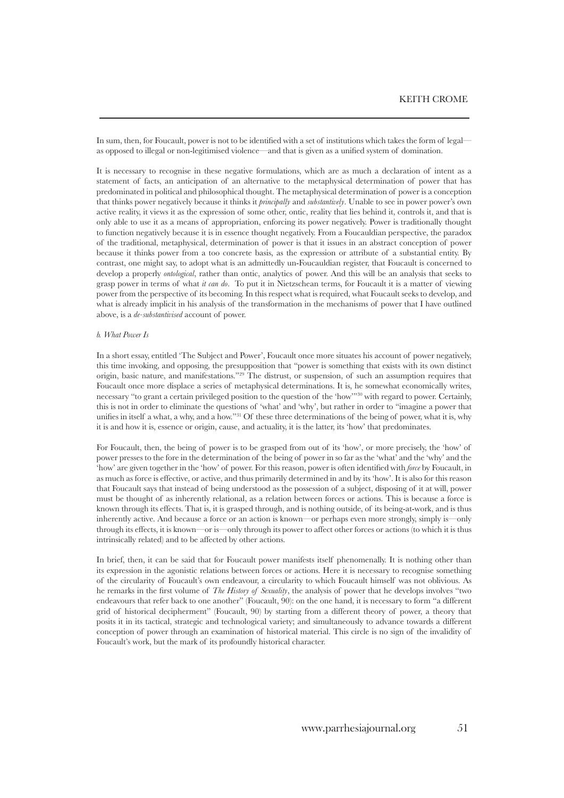In sum, then, for Foucault, power is not to be identified with a set of institutions which takes the form of legal as opposed to illegal or non-legitimised violence—and that is given as a unified system of domination.

It is necessary to recognise in these negative formulations, which are as much a declaration of intent as a statement of facts, an anticipation of an alternative to the metaphysical determination of power that has predominated in political and philosophical thought. The metaphysical determination of power is a conception that thinks power negatively because it thinks it *principally* and *substantively*. Unable to see in power power's own active reality, it views it as the expression of some other, ontic, reality that lies behind it, controls it, and that is only able to use it as a means of appropriation, enforcing its power negatively. Power is traditionally thought to function negatively because it is in essence thought negatively. From a Foucauldian perspective, the paradox of the traditional, metaphysical, determination of power is that it issues in an abstract conception of power because it thinks power from a too concrete basis, as the expression or attribute of a substantial entity. By contrast, one might say, to adopt what is an admittedly un-Foucauldian register, that Foucault is concerned to develop a properly *ontological*, rather than ontic, analytics of power. And this will be an analysis that seeks to grasp power in terms of what *it can do*. To put it in Nietzschean terms, for Foucault it is a matter of viewing power from the perspective of its becoming. In this respect what is required, what Foucault seeks to develop, and what is already implicit in his analysis of the transformation in the mechanisms of power that I have outlined above, is a *de-substantivised* account of power.

### *b. What Power Is*

In a short essay, entitled 'The Subject and Power', Foucault once more situates his account of power negatively, this time invoking, and opposing, the presupposition that "power is something that exists with its own distinct origin, basic nature, and manifestations."<sup>29</sup> The distrust, or suspension, of such an assumption requires that Foucault once more displace a series of metaphysical determinations. It is, he somewhat economically writes, necessary "to grant a certain privileged position to the question of the 'how'"<sup>30</sup> with regard to power. Certainly, this is not in order to eliminate the questions of 'what' and 'why', but rather in order to "imagine a power that unifies in itself a what, a why, and a how."31 Of these three determinations of the being of power, what it is, why it is and how it is, essence or origin, cause, and actuality, it is the latter, its 'how' that predominates.

For Foucault, then, the being of power is to be grasped from out of its 'how', or more precisely, the 'how' of power presses to the fore in the determination of the being of power in so far as the 'what' and the 'why' and the 'how' are given together in the 'how' of power. For this reason, power is often identified with *force* by Foucault, in as much as force is effective, or active, and thus primarily determined in and by its 'how'. It is also for this reason that Foucault says that instead of being understood as the possession of a subject, disposing of it at will, power must be thought of as inherently relational, as a relation between forces or actions. This is because a force is known through its effects. That is, it is grasped through, and is nothing outside, of its being-at-work, and is thus inherently active. And because a force or an action is known—or perhaps even more strongly, simply is—only through its effects, it is known—or is—only through its power to affect other forces or actions (to which it is thus intrinsically related) and to be affected by other actions.

In brief, then, it can be said that for Foucault power manifests itself phenomenally. It is nothing other than its expression in the agonistic relations between forces or actions. Here it is necessary to recognise something of the circularity of Foucault's own endeavour, a circularity to which Foucault himself was not oblivious. As he remarks in the first volume of *The History of Sexuality*, the analysis of power that he develops involves "two endeavours that refer back to one another" (Foucault, 90): on the one hand, it is necessary to form "a different grid of historical decipherment" (Foucault, 90) by starting from a different theory of power, a theory that posits it in its tactical, strategic and technological variety; and simultaneously to advance towards a different conception of power through an examination of historical material. This circle is no sign of the invalidity of Foucault's work, but the mark of its profoundly historical character.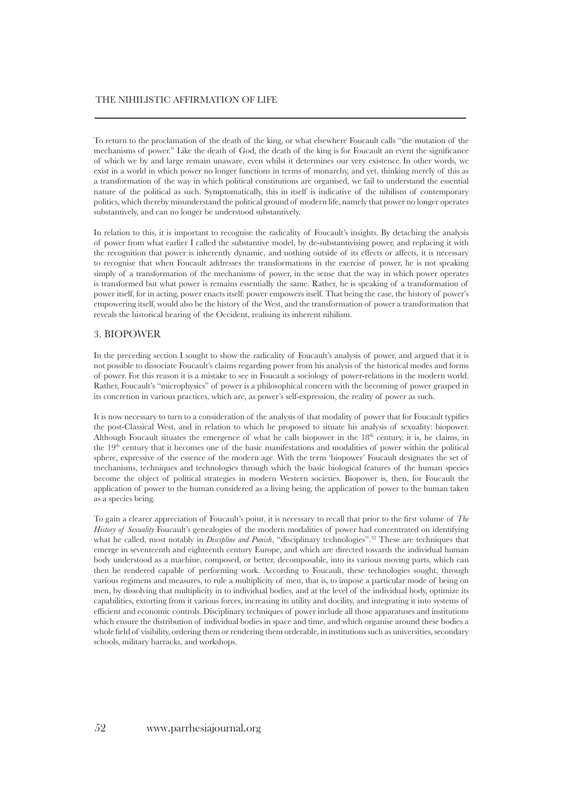To return to the proclamation of the death of the king, or what elsewhere Foucault calls "the mutation of the mechanisms of power." Like the death of God, the death of the king is for Foucault an event the significance of which we by and large remain unaware, even whilst it determines our very existence. In other words, we exist in a world in which power no longer functions in terms of monarchy, and yet, thinking merely of this as a transformation of the way in which political constitutions are organised, we fail to understand the essential nature of the political as such. Symptomatically, this in itself is indicative of the nihilism of contemporary politics, which thereby misunderstand the political ground of modern life, namely that power no longer operates substantively, and can no longer be understood substantively.

In relation to this, it is important to recognise the radicality of Foucault's insights. By detaching the analysis of power from what earlier I called the substantive model, by de-substantivising power, and replacing it with the recognition that power is inherently dynamic, and nothing outside of its effects or affects, it is necessary to recognise that when Foucault addresses the transformations in the exercise of power, he is not speaking simply of a transformation of the mechanisms of power, in the sense that the way in which power operates is transformed but what power is remains essentially the same. Rather, he is speaking of a transformation of power itself, for in acting, power enacts itself: power empowers itself. That being the case, the history of power's empowering itself, would also be the history of the West, and the transformation of power a transformation that reveals the historical bearing of the Occident, realising its inherent nihilism.

### 3. Biopower

In the preceding section I sought to show the radicality of Foucault's analysis of power, and argued that it is not possible to dissociate Foucault's claims regarding power from his analysis of the historical modes and forms of power. For this reason it is a mistake to see in Foucault a sociology of power-relations in the modern world. Rather, Foucault's "microphysics" of power is a philosophical concern with the becoming of power grasped in its concretion in various practices, which are, as power's self-expression, the reality of power as such.

It is now necessary to turn to a consideration of the analysis of that modality of power that for Foucault typifies the post-Classical West, and in relation to which he proposed to situate his analysis of sexuality: biopower. Although Foucault situates the emergence of what he calls biopower in the  $18<sup>th</sup>$  century, it is, he claims, in the 19<sup>th</sup> century that it becomes one of the basic manifestations and modalities of power within the political sphere, expressive of the essence of the modern age. With the term 'biopower' Foucault designates the set of mechanisms, techniques and technologies through which the basic biological features of the human species become the object of political strategies in modern Western societies. Biopower is, then, for Foucault the application of power to the human considered as a living being, the application of power to the human taken as a species being.

To gain a clearer appreciation of Foucault's point, it is necessary to recall that prior to the first volume of *The History of Sexuality* Foucault's genealogies of the modern modalities of power had concentrated on identifying what he called, most notably in *Discipline and Punish*, "disciplinary technologies".<sup>32</sup> These are techniques that emerge in seventeenth and eighteenth century Europe, and which are directed towards the individual human body understood as a machine, composed, or better, decomposable, into its various moving parts, which can then be rendered capable of performing work. According to Foucault, these technologies sought, through various regimens and measures, to rule a multiplicity of men, that is, to impose a particular mode of being on men, by dissolving that multiplicity in to individual bodies, and at the level of the individual body, optimize its capabilities, extorting from it various forces, increasing its utility and docility, and integrating it into systems of efficient and economic controls. Disciplinary techniques of power include all those apparatuses and institutions which ensure the distribution of individual bodies in space and time, and which organise around these bodies a whole field of visibility, ordering them or rendering them orderable, in institutions such as universities, secondary schools, military barracks, and workshops.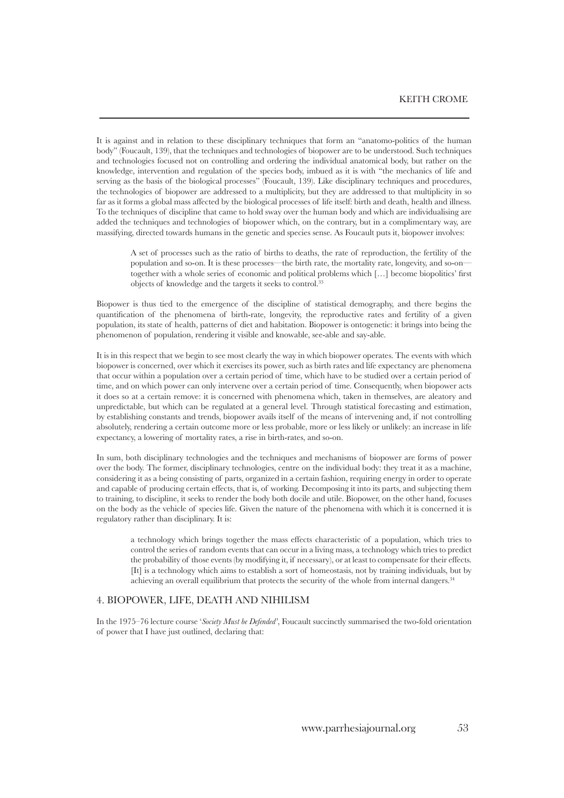It is against and in relation to these disciplinary techniques that form an "anatomo-politics of the human body" (Foucault, 139), that the techniques and technologies of biopower are to be understood. Such techniques and technologies focused not on controlling and ordering the individual anatomical body, but rather on the knowledge, intervention and regulation of the species body, imbued as it is with "the mechanics of life and serving as the basis of the biological processes" (Foucault, 139). Like disciplinary techniques and procedures, the technologies of biopower are addressed to a multiplicity, but they are addressed to that multiplicity in so far as it forms a global mass affected by the biological processes of life itself: birth and death, health and illness. To the techniques of discipline that came to hold sway over the human body and which are individualising are added the techniques and technologies of biopower which, on the contrary, but in a complimentary way, are massifying, directed towards humans in the genetic and species sense. As Foucault puts it, biopower involves:

A set of processes such as the ratio of births to deaths, the rate of reproduction, the fertility of the population and so-on. It is these processes—the birth rate, the mortality rate, longevity, and so-on together with a whole series of economic and political problems which […] become biopolitics' first objects of knowledge and the targets it seeks to control.33

Biopower is thus tied to the emergence of the discipline of statistical demography, and there begins the quantification of the phenomena of birth-rate, longevity, the reproductive rates and fertility of a given population, its state of health, patterns of diet and habitation. Biopower is ontogenetic: it brings into being the phenomenon of population, rendering it visible and knowable, see-able and say-able.

It is in this respect that we begin to see most clearly the way in which biopower operates. The events with which biopower is concerned, over which it exercises its power, such as birth rates and life expectancy are phenomena that occur within a population over a certain period of time, which have to be studied over a certain period of time, and on which power can only intervene over a certain period of time. Consequently, when biopower acts it does so at a certain remove: it is concerned with phenomena which, taken in themselves, are aleatory and unpredictable, but which can be regulated at a general level. Through statistical forecasting and estimation, by establishing constants and trends, biopower avails itself of the means of intervening and, if not controlling absolutely, rendering a certain outcome more or less probable, more or less likely or unlikely: an increase in life expectancy, a lowering of mortality rates, a rise in birth-rates, and so-on.

In sum, both disciplinary technologies and the techniques and mechanisms of biopower are forms of power over the body. The former, disciplinary technologies, centre on the individual body: they treat it as a machine, considering it as a being consisting of parts, organized in a certain fashion, requiring energy in order to operate and capable of producing certain effects, that is, of working. Decomposing it into its parts, and subjecting them to training, to discipline, it seeks to render the body both docile and utile. Biopower, on the other hand, focuses on the body as the vehicle of species life. Given the nature of the phenomena with which it is concerned it is regulatory rather than disciplinary. It is:

a technology which brings together the mass effects characteristic of a population, which tries to control the series of random events that can occur in a living mass, a technology which tries to predict the probability of those events (by modifying it, if necessary), or at least to compensate for their effects. [It] is a technology which aims to establish a sort of homeostasis, not by training individuals, but by achieving an overall equilibrium that protects the security of the whole from internal dangers.<sup>34</sup>

### 4. Biopower, Life, Death and Nihilism

In the 1975–76 lecture course '*Society Must be Defended'*, Foucault succinctly summarised the two-fold orientation of power that I have just outlined, declaring that: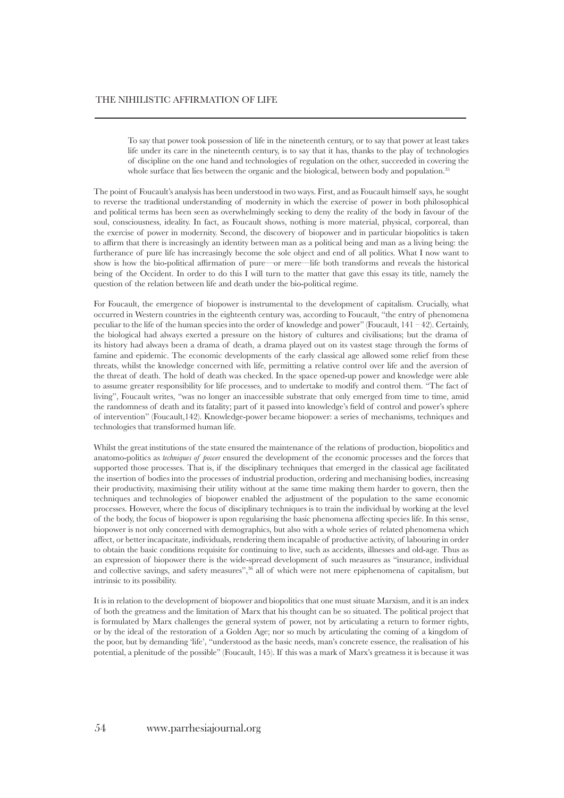To say that power took possession of life in the nineteenth century, or to say that power at least takes life under its care in the nineteenth century, is to say that it has, thanks to the play of technologies of discipline on the one hand and technologies of regulation on the other, succeeded in covering the whole surface that lies between the organic and the biological, between body and population.<sup>35</sup>

The point of Foucault's analysis has been understood in two ways. First, and as Foucault himself says, he sought to reverse the traditional understanding of modernity in which the exercise of power in both philosophical and political terms has been seen as overwhelmingly seeking to deny the reality of the body in favour of the soul, consciousness, ideality. In fact, as Foucault shows, nothing is more material, physical, corporeal, than the exercise of power in modernity. Second, the discovery of biopower and in particular biopolitics is taken to affirm that there is increasingly an identity between man as a political being and man as a living being: the furtherance of pure life has increasingly become the sole object and end of all politics. What I now want to show is how the bio-political affirmation of pure—or mere—life both transforms and reveals the historical being of the Occident. In order to do this I will turn to the matter that gave this essay its title, namely the question of the relation between life and death under the bio-political regime.

For Foucault, the emergence of biopower is instrumental to the development of capitalism. Crucially, what occurred in Western countries in the eighteenth century was, according to Foucault, "the entry of phenomena peculiar to the life of the human species into the order of knowledge and power" (Foucault,  $141 - 42$ ). Certainly, the biological had always exerted a pressure on the history of cultures and civilisations; but the drama of its history had always been a drama of death, a drama played out on its vastest stage through the forms of famine and epidemic. The economic developments of the early classical age allowed some relief from these threats, whilst the knowledge concerned with life, permitting a relative control over life and the aversion of the threat of death. The hold of death was checked. In the space opened-up power and knowledge were able to assume greater responsibility for life processes, and to undertake to modify and control them. "The fact of living", Foucault writes, "was no longer an inaccessible substrate that only emerged from time to time, amid the randomness of death and its fatality; part of it passed into knowledge's field of control and power's sphere of intervention" (Foucault,142). Knowledge-power became biopower: a series of mechanisms, techniques and technologies that transformed human life.

Whilst the great institutions of the state ensured the maintenance of the relations of production, biopolitics and anatomo-politics as *techniques of power* ensured the development of the economic processes and the forces that supported those processes. That is, if the disciplinary techniques that emerged in the classical age facilitated the insertion of bodies into the processes of industrial production, ordering and mechanising bodies, increasing their productivity, maximising their utility without at the same time making them harder to govern, then the techniques and technologies of biopower enabled the adjustment of the population to the same economic processes. However, where the focus of disciplinary techniques is to train the individual by working at the level of the body, the focus of biopower is upon regularising the basic phenomena affecting species life. In this sense, biopower is not only concerned with demographics, but also with a whole series of related phenomena which affect, or better incapacitate, individuals, rendering them incapable of productive activity, of labouring in order to obtain the basic conditions requisite for continuing to live, such as accidents, illnesses and old-age. Thus as an expression of biopower there is the wide-spread development of such measures as "insurance, individual and collective savings, and safety measures",<sup>36</sup> all of which were not mere epiphenomena of capitalism, but intrinsic to its possibility.

It is in relation to the development of biopower and biopolitics that one must situate Marxism, and it is an index of both the greatness and the limitation of Marx that his thought can be so situated. The political project that is formulated by Marx challenges the general system of power, not by articulating a return to former rights, or by the ideal of the restoration of a Golden Age; nor so much by articulating the coming of a kingdom of the poor, but by demanding 'life', "understood as the basic needs, man's concrete essence, the realisation of his potential, a plenitude of the possible" (Foucault, 145). If this was a mark of Marx's greatness it is because it was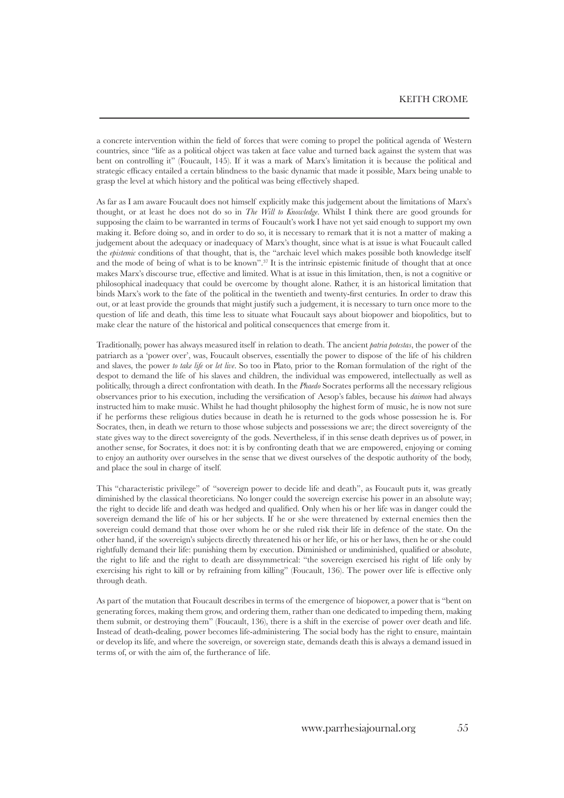a concrete intervention within the field of forces that were coming to propel the political agenda of Western countries, since "life as a political object was taken at face value and turned back against the system that was bent on controlling it" (Foucault, 145). If it was a mark of Marx's limitation it is because the political and strategic efficacy entailed a certain blindness to the basic dynamic that made it possible, Marx being unable to grasp the level at which history and the political was being effectively shaped.

As far as I am aware Foucault does not himself explicitly make this judgement about the limitations of Marx's thought, or at least he does not do so in *The Will to Knowledge*. Whilst I think there are good grounds for supposing the claim to be warranted in terms of Foucault's work I have not yet said enough to support my own making it. Before doing so, and in order to do so, it is necessary to remark that it is not a matter of making a judgement about the adequacy or inadequacy of Marx's thought, since what is at issue is what Foucault called the *epistemic* conditions of that thought, that is, the "archaic level which makes possible both knowledge itself and the mode of being of what is to be known".37 It is the intrinsic epistemic finitude of thought that at once makes Marx's discourse true, effective and limited. What is at issue in this limitation, then, is not a cognitive or philosophical inadequacy that could be overcome by thought alone. Rather, it is an historical limitation that binds Marx's work to the fate of the political in the twentieth and twenty-first centuries. In order to draw this out, or at least provide the grounds that might justify such a judgement, it is necessary to turn once more to the question of life and death, this time less to situate what Foucault says about biopower and biopolitics, but to make clear the nature of the historical and political consequences that emerge from it.

Traditionally, power has always measured itself in relation to death. The ancient *patria potestas*, the power of the patriarch as a 'power over', was, Foucault observes, essentially the power to dispose of the life of his children and slaves, the power *to take life* or *let live*. So too in Plato, prior to the Roman formulation of the right of the despot to demand the life of his slaves and children, the individual was empowered, intellectually as well as politically, through a direct confrontation with death. In the *Phaedo* Socrates performs all the necessary religious observances prior to his execution, including the versification of Aesop's fables, because his *daimon* had always instructed him to make music. Whilst he had thought philosophy the highest form of music, he is now not sure if he performs these religious duties because in death he is returned to the gods whose possession he is. For Socrates, then, in death we return to those whose subjects and possessions we are; the direct sovereignty of the state gives way to the direct sovereignty of the gods. Nevertheless, if in this sense death deprives us of power, in another sense, for Socrates, it does not: it is by confronting death that we are empowered, enjoying or coming to enjoy an authority over ourselves in the sense that we divest ourselves of the despotic authority of the body, and place the soul in charge of itself.

This "characteristic privilege" of "sovereign power to decide life and death", as Foucault puts it, was greatly diminished by the classical theoreticians. No longer could the sovereign exercise his power in an absolute way; the right to decide life and death was hedged and qualified. Only when his or her life was in danger could the sovereign demand the life of his or her subjects. If he or she were threatened by external enemies then the sovereign could demand that those over whom he or she ruled risk their life in defence of the state. On the other hand, if the sovereign's subjects directly threatened his or her life, or his or her laws, then he or she could rightfully demand their life: punishing them by execution. Diminished or undiminished, qualified or absolute, the right to life and the right to death are dissymmetrical: "the sovereign exercised his right of life only by exercising his right to kill or by refraining from killing" (Foucault, 136). The power over life is effective only through death.

As part of the mutation that Foucault describes in terms of the emergence of biopower, a power that is "bent on generating forces, making them grow, and ordering them, rather than one dedicated to impeding them, making them submit, or destroying them" (Foucault, 136), there is a shift in the exercise of power over death and life. Instead of death-dealing, power becomes life-administering. The social body has the right to ensure, maintain or develop its life, and where the sovereign, or sovereign state, demands death this is always a demand issued in terms of, or with the aim of, the furtherance of life.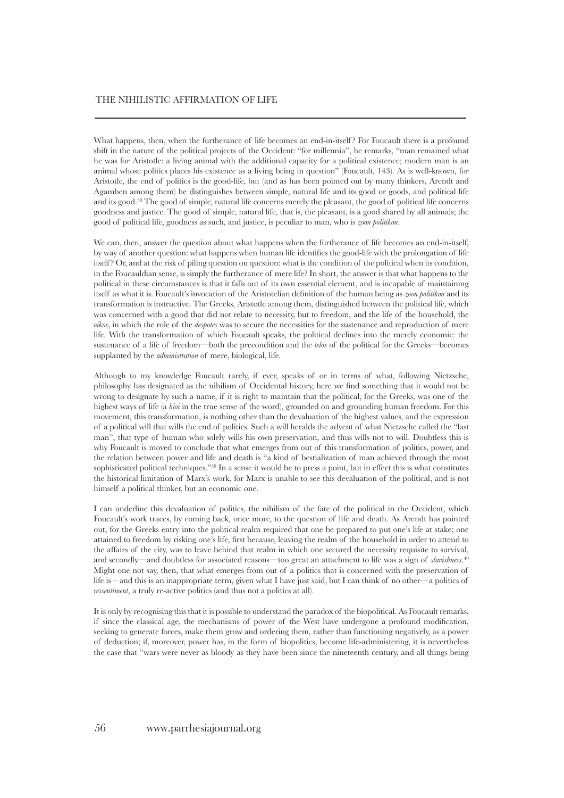What happens, then, when the furtherance of life becomes an end-in-itself? For Foucault there is a profound shift in the nature of the political projects of the Occident: "for millennia", he remarks, "man remained what he was for Aristotle: a living animal with the additional capacity for a political existence; modern man is an animal whose politics places his existence as a living being in question" (Foucault, 143). As is well-known, for Aristotle, the end of politics is the good-life, but (and as has been pointed out by many thinkers, Arendt and Agamben among them) he distinguishes between simple, natural life and its good or goods, and political life and its good.<sup>38</sup> The good of simple, natural life concerns merely the pleasant, the good of political life concerns goodness and justice. The good of simple, natural life, that is, the pleasant, is a good shared by all animals; the good of political life, goodness as such, and justice, is peculiar to man, who is *zoon politikon*.

We can, then, answer the question about what happens when the furtherance of life becomes an end-in-itself, by way of another question: what happens when human life identifies the good-life with the prolongation of life itself ? Or, and at the risk of piling question on question: what is the condition of the political when its condition, in the Foucauldian sense, is simply the furtherance of mere life? In short, the answer is that what happens to the political in these circumstances is that it falls out of its own essential element, and is incapable of maintaining itself as what it is. Foucault's invocation of the Aristotelian definition of the human being as *zoon politikon* and its transformation is instructive. The Greeks, Aristotle among them, distinguished between the political life, which was concerned with a good that did not relate to necessity, but to freedom, and the life of the household, the *oikos*, in which the role of the *despotes* was to secure the necessities for the sustenance and reproduction of mere life. With the transformation of which Foucault speaks, the political declines into the merely economic: the sustenance of a life of freedom—both the precondition and the *telos* of the political for the Greeks—becomes supplanted by the *administration* of mere, biological, life.

Although to my knowledge Foucault rarely, if ever, speaks of or in terms of what, following Nietzsche, philosophy has designated as the nihilism of Occidental history, here we find something that it would not be wrong to designate by such a name, if it is right to maintain that the political, for the Greeks, was one of the highest ways of life (a *bioi* in the true sense of the word), grounded on and grounding human freedom. For this movement, this transformation, is nothing other than the devaluation of the highest values, and the expression of a political will that wills the end of politics. Such a will heralds the advent of what Nietzsche called the "last man", that type of human who solely wills his own preservation, and thus wills not to will. Doubtless this is why Foucault is moved to conclude that what emerges from out of this transformation of politics, power, and the relation between power and life and death is "a kind of bestialization of man achieved through the most sophisticated political techniques."<sup>39</sup> In a sense it would be to press a point, but in effect this is what constitutes the historical limitation of Marx's work, for Marx is unable to see this devaluation of the political, and is not himself a political thinker, but an economic one.

I can underline this devaluation of politics, the nihilism of the fate of the political in the Occident, which Foucault's work traces, by coming back, once more, to the question of life and death. As Arendt has pointed out, for the Greeks entry into the political realm required that one be prepared to put one's life at stake; one attained to freedom by risking one's life, first because, leaving the realm of the household in order to attend to the affairs of the city, was to leave behind that realm in which one secured the necessity requisite to survival, and secondly—and doubtless for associated reasons—too great an attachment to life was a sign of *slavishness*.<sup>40</sup> Might one not say, then, that what emerges from out of a politics that is concerned with the preservation of life is – and this is an inappropriate term, given what I have just said, but I can think of no other—a politics of *ressentiment*, a truly re-active politics (and thus not a politics at all).

It is only by recognising this that it is possible to understand the paradox of the biopolitical. As Foucault remarks, if since the classical age, the mechanisms of power of the West have undergone a profound modification, seeking to generate forces, make them grow and ordering them, rather than functioning negatively, as a power of deduction; if, moreover, power has, in the form of biopolitics, become life-administering, it is nevertheless the case that "wars were never as bloody as they have been since the nineteenth century, and all things being

#### 56 www.parrhesiajournal.org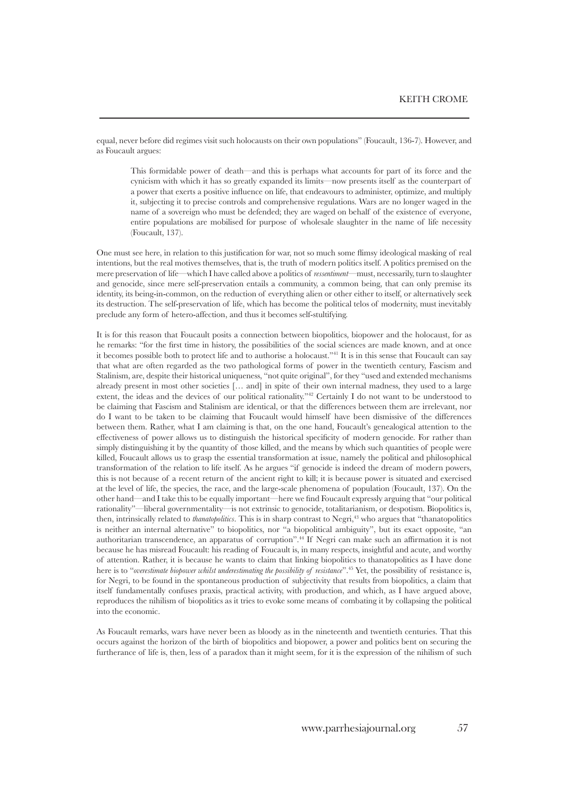equal, never before did regimes visit such holocausts on their own populations" (Foucault, 136-7). However, and as Foucault argues:

This formidable power of death—and this is perhaps what accounts for part of its force and the cynicism with which it has so greatly expanded its limits—now presents itself as the counterpart of a power that exerts a positive influence on life, that endeavours to administer, optimize, and multiply it, subjecting it to precise controls and comprehensive regulations. Wars are no longer waged in the name of a sovereign who must be defended; they are waged on behalf of the existence of everyone, entire populations are mobilised for purpose of wholesale slaughter in the name of life necessity (Foucault, 137).

One must see here, in relation to this justification for war, not so much some flimsy ideological masking of real intentions, but the real motives themselves, that is, the truth of modern politics itself. A politics premised on the mere preservation of life—which I have called above a politics of *ressentiment*—must, necessarily, turn to slaughter and genocide, since mere self-preservation entails a community, a common being, that can only premise its identity, its being-in-common, on the reduction of everything alien or other either to itself, or alternatively seek its destruction. The self-preservation of life, which has become the political telos of modernity, must inevitably preclude any form of hetero-affection, and thus it becomes self-stultifying.

It is for this reason that Foucault posits a connection between biopolitics, biopower and the holocaust, for as he remarks: "for the first time in history, the possibilities of the social sciences are made known, and at once it becomes possible both to protect life and to authorise a holocaust."<sup>41</sup> It is in this sense that Foucault can say that what are often regarded as the two pathological forms of power in the twentieth century, Fascism and Stalinism, are, despite their historical uniqueness, "not quite original", for they "used and extended mechanisms already present in most other societies [… and] in spite of their own internal madness, they used to a large extent, the ideas and the devices of our political rationality."<sup>42</sup> Certainly I do not want to be understood to be claiming that Fascism and Stalinism are identical, or that the differences between them are irrelevant, nor do I want to be taken to be claiming that Foucault would himself have been dismissive of the differences between them. Rather, what I am claiming is that, on the one hand, Foucault's genealogical attention to the effectiveness of power allows us to distinguish the historical specificity of modern genocide. For rather than simply distinguishing it by the quantity of those killed, and the means by which such quantities of people were killed, Foucault allows us to grasp the essential transformation at issue, namely the political and philosophical transformation of the relation to life itself. As he argues "if genocide is indeed the dream of modern powers, this is not because of a recent return of the ancient right to kill; it is because power is situated and exercised at the level of life, the species, the race, and the large-scale phenomena of population (Foucault, 137). On the other hand—and I take this to be equally important—here we find Foucault expressly arguing that "our political rationality"—liberal governmentality—is not extrinsic to genocide, totalitarianism, or despotism. Biopolitics is, then, intrinsically related to *thanatopolitics*. This is in sharp contrast to Negri,<sup>43</sup> who argues that "thanatopolitics" is neither an internal alternative" to biopolitics, nor "a biopolitical ambiguity", but its exact opposite, "an authoritarian transcendence, an apparatus of corruption".44 If Negri can make such an affirmation it is not because he has misread Foucault: his reading of Foucault is, in many respects, insightful and acute, and worthy of attention. Rather, it is because he wants to claim that linking biopolitics to thanatopolitics as I have done here is to "*overestimate biopower whilst underestimating the possibility of resistance*".<sup>45</sup> Yet, the possibility of resistance is, for Negri, to be found in the spontaneous production of subjectivity that results from biopolitics, a claim that itself fundamentally confuses praxis, practical activity, with production, and which, as I have argued above, reproduces the nihilism of biopolitics as it tries to evoke some means of combating it by collapsing the political into the economic.

As Foucault remarks, wars have never been as bloody as in the nineteenth and twentieth centuries. That this occurs against the horizon of the birth of biopolitics and biopower, a power and politics bent on securing the furtherance of life is, then, less of a paradox than it might seem, for it is the expression of the nihilism of such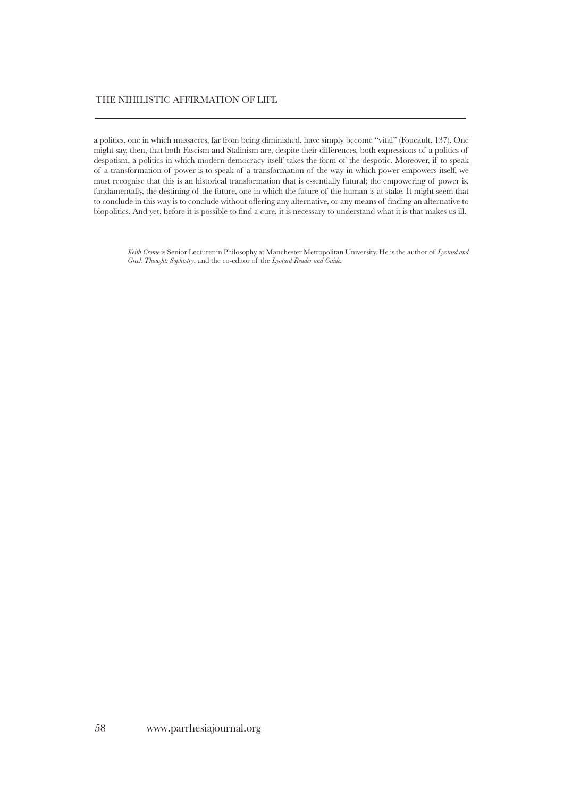# THE NIHILISTIC AFFIRMATION OF LIFE

a politics, one in which massacres, far from being diminished, have simply become "vital" (Foucault, 137). One might say, then, that both Fascism and Stalinism are, despite their differences, both expressions of a politics of despotism, a politics in which modern democracy itself takes the form of the despotic. Moreover, if to speak of a transformation of power is to speak of a transformation of the way in which power empowers itself, we must recognise that this is an historical transformation that is essentially futural; the empowering of power is, fundamentally, the destining of the future, one in which the future of the human is at stake. It might seem that to conclude in this way is to conclude without offering any alternative, or any means of finding an alternative to biopolitics. And yet, before it is possible to find a cure, it is necessary to understand what it is that makes us ill.

*Keith Crome* is Senior Lecturer in Philosophy at Manchester Metropolitan University. He is the author of *Lyotard and Greek Thought: Sophistry*, and the co-editor of the *Lyotard Reader and Guide.*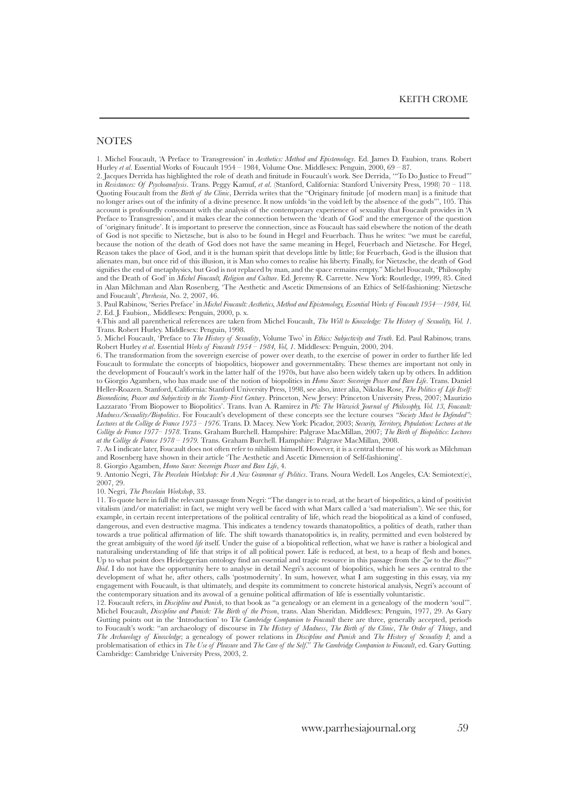### **NOTES**

1. Michel Foucault, 'A Preface to Transgression' in *Aesthetics: Method and Epistemology*. Ed. James D. Faubion, trans. Robert Hurley *et al*. Essential Works of Foucault 1954 – 1984, Volume One. Middlesex: Penguin, 2000, 69 – 87.

2. Jacques Derrida has highlighted the role of death and finitude in Foucault's work. See Derrida, '"To Do Justice to Freud"' in *Resistances: Of Psychoanalysis*. Trans. Peggy Kamuf, *et al*. (Stanford, California: Stanford University Press, 1998) 70 – 118. Quoting Foucault from the *Birth of the Clinic*, Derrida writes that the "Originary finitude [of modern man] is a finitude that no longer arises out of the infinity of a divine presence. It now unfolds 'in the void left by the absence of the gods'", 105. This account is profoundly consonant with the analysis of the contemporary experience of sexuality that Foucault provides in 'A Preface to Transgression', and it makes clear the connection between the 'death of God' and the emergence of the question of 'originary finitude'. It is important to preserve the connection, since as Foucault has said elsewhere the notion of the death of God is not specific to Nietzsche, but is also to be found in Hegel and Feuerbach. Thus he writes: "we must be careful, because the notion of the death of God does not have the same meaning in Hegel, Feuerbach and Nietzsche. For Hegel, Reason takes the place of God, and it is the human spirit that develops little by little; for Feuerbach, God is the illusion that alienates man, but once rid of this illusion, it is Man who comes to realise his liberty. Finally, for Nietzsche, the death of God signifies the end of metaphysics, but God is not replaced by man, and the space remains empty." Michel Foucault, 'Philosophy and the Death of God' in *Michel Foucault, Religion and Culture*. Ed. Jeremy R. Carrette. New York: Routledge, 1999, 85. Cited in Alan Milchman and Alan Rosenberg, 'The Aesthetic and Ascetic Dimensions of an Ethics of Self-fashioning: Nietzsche and Foucault', *Parrhesia*, No. 2, 2007, 46.

3. Paul Rabinow, 'Series Preface' in *Michel Foucault: Aesthetics, Method and Epistemology, Essential Works of Foucault 1954—1984, Vol. 2*. Ed. J. Faubion,. Middlesex: Penguin, 2000, p. x.

4.This and all parenthetical references are taken from Michel Foucault, *The Will to Knowledge: The History of Sexuality, Vol. 1*. Trans. Robert Hurley. Middlesex: Penguin, 1998.

5. Michel Foucault, 'Preface to *The History of Sexuality*, Volume Two' in *Ethics: Subjectivity and Truth*. Ed. Paul Rabinow, trans. Robert Hurley *et al*. Essential *Works of Foucault 1954 – 1984, Vol, 1*. Middlesex: Penguin, 2000, 204.

6. The transformation from the sovereign exercise of power over death, to the exercise of power in order to further life led Foucault to formulate the concepts of biopolitics, biopower and governmentality. These themes are important not only in the development of Foucault's work in the latter half of the 1970s, but have also been widely taken up by others. In addition to Giorgio Agamben, who has made use of the notion of biopolitics in *Homo Sacer: Sovereign Power and Bare Life*. Trans. Daniel Heller-Roazen. Stanford, California: Stanford University Press, 1998, see also, inter alia, Nikolas Rose, *The Politics of Life Itself: Biomedicine, Power and Subjectivity in the Twenty-First Century*. Princeton, New Jersey: Princeton University Press, 2007; Maurizio Lazzarato 'From Biopower to Biopolitics'. Trans. Ivan A. Ramirez in *Pli: The Warwick Journal of Philosophy, Vol. 13, Foucault: Madness/Sexuality/Biopolitics*. For Foucault's development of these concepts see the lecture courses *"Society Must be Defended": Lectures at the Collège de France 1975 – 1976*. Trans. D. Macey. New York: Picador, 2003; *Security, Territory, Population: Lectures at the Collège de France 1977– 1978*. Trans. Graham Burchell. Hampshire: Palgrave MacMillan, 2007; *The Birth of Biopolitics*: *Lectures at the Collège de France 1978 – 1979.* Trans. Graham Burchell. Hampshire: Palgrave MacMillan, 2008.

7. As I indicate later, Foucault does not often refer to nihilism himself. However, it is a central theme of his work as Milchman and Rosenberg have shown in their article 'The Aesthetic and Ascetic Dimension of Self-fashioning'.

8. Giorgio Agamben, *Homo Sacer: Sovereign Power and Bare Life*, 4.

9. Antonio Negri, *The Porcelain Workshop: For A New Grammar of Politics*. Trans. Noura Wedell. Los Angeles, CA: Semiotext(e), 2007, 29.

10. Negri, *The Porcelain Workshop*, 33.

11. To quote here in full the relevant passage from Negri: "The danger is to read, at the heart of biopolitics, a kind of positivist vitalism (and/or materialist: in fact, we might very well be faced with what Marx called a 'sad materialism'). We see this, for example, in certain recent interpretations of the political centrality of life, which read the biopolitical as a kind of confused, dangerous, and even destructive magma. This indicates a tendency towards thanatopolitics, a politics of death, rather than towards a true political affirmation of life. The shift towards thanatopolitics is, in reality, permitted and even bolstered by the great ambiguity of the word *life* itself. Under the guise of a biopolitical reflection, what we have is rather a biological and naturalising understanding of life that strips it of all political power. Life is reduced, at best, to a heap of flesh and bones. Up to what point does Heideggerian ontology find an essential and tragic resource in this passage from the *Zoe* to the *Bios*?" *Ibid*. I do not have the opportunity here to analyse in detail Negri's account of biopolitics, which he sees as central to the development of what he, after others, calls 'postmodernity'. In sum, however, what I am suggesting in this essay, via my engagement with Foucault, is that ultimately, and despite its commitment to concrete historical analysis, Negri's account of the contemporary situation and its avowal of a genuine political affirmation of life is essentially voluntaristic.

12. Foucault refers, in *Discipline and Punish*, to that book as "a genealogy or an element in a genealogy of the modern 'soul'". Michel Foucault, *Discipline and Punish: The Birth of the Prison*, trans. Alan Sheridan. Middlesex: Penguin, 1977, 29. As Gary Gutting points out in the 'Introduction' to T*he Cambridge Companion to Foucault* there are three, generally accepted, periods to Foucault's work: "an archaeology of discourse in *The History of Madness*, *The Birth of the Clinic*, *The Order of Things*, and *The Archaeology of Knowledge*; a genealogy of power relations in *Discipline and Punish* and *The History of Sexuality I*; and a problematisation of ethics in *The Use of Pleasure* and *The Care of the Self*." *The Cambridge Companion to Foucault*, ed. Gary Gutting. Cambridge: Cambridge University Press, 2003, 2.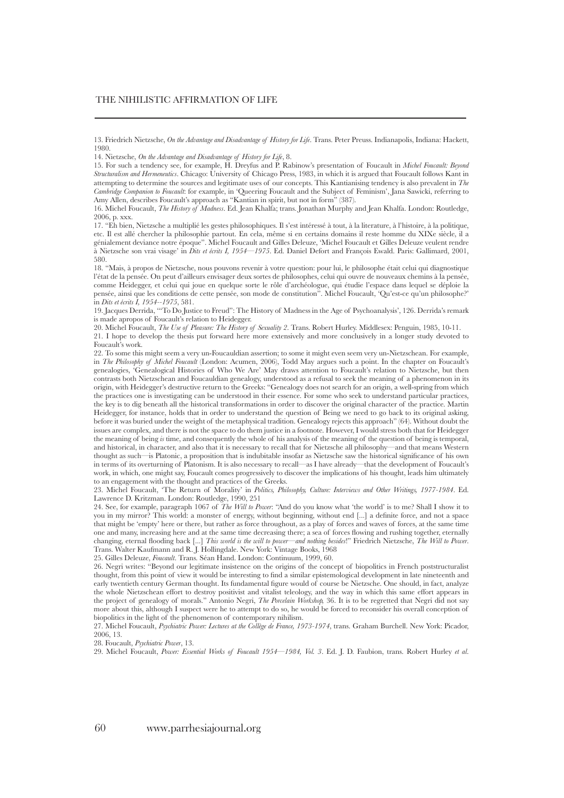17. "Eh bien, Nietzsche a multiplié les gestes philosophiques. Il s'est intéressé à tout, à la literature, à l'histoire, à la politique, etc. Il est allé chercher la philosophie partout. En cela, même si en certains domains il reste homme du XIXe siècle, il a génialement deviance notre époque". Michel Foucault and Gilles Deleuze, 'Michel Foucault et Gilles Deleuze veulent rendre à Nietzsche son vrai visage' in *Dits et écrits I, 1954—1975*. Ed. Daniel Defort and François Ewald. Paris: Gallimard, 2001, 580.

18. "Mais, à propos de Nietzsche, nous pouvons revenir à votre question: pour lui, le philosophe était celui qui diagnostique l'état de la pensée. On peut d'ailleurs envisager deux sortes de philosophes, celui qui ouvre de nouveaux chemins à la pensée, comme Heidegger, et celui qui joue en quelque sorte le rôle d'archéologue, qui étudie l'espace dans lequel se déploie la pensée, ainsi que les conditions de cette pensée, son mode de constitution". Michel Foucault, 'Qu'est-ce qu'un philosophe?' in *Dits et écrits I, 1954--1975*, 581.

19. Jacques Derrida, '"To Do Justice to Freud": The History of Madness in the Age of Psychoanalysis', 126. Derrida's remark is made apropos of Foucault's relation to Heidegger.

20. Michel Foucault, *The Use of Pleasure: The History of Sexuality 2*. Trans. Robert Hurley. Middlesex: Penguin, 1985, 10-11. 21. I hope to develop the thesis put forward here more extensively and more conclusively in a longer study devoted to Foucault's work.

22. To some this might seem a very un-Foucauldian assertion; to some it might even seem very un-Nietzschean. For example, in *The Philosophy of Michel Foucault* (London: Acumen, 2006), Todd May argues such a point. In the chapter on Foucault's genealogies, 'Genealogical Histories of Who We Are' May draws attention to Foucault's relation to Nietzsche, but then contrasts both Nietzschean and Foucauldian genealogy, understood as a refusal to seek the meaning of a phenomenon in its origin, with Heidegger's destructive return to the Greeks: "Genealogy does not search for an origin, a well-spring from which the practices one is investigating can be understood in their essence. For some who seek to understand particular practices, the key is to dig beneath all the historical transformations in order to discover the original character of the practice. Martin Heidegger, for instance, holds that in order to understand the question of Being we need to go back to its original asking, before it was buried under the weight of the metaphysical tradition. Genealogy rejects this approach" (64). Without doubt the issues are complex, and there is not the space to do them justice in a footnote. However, I would stress both that for Heidegger the meaning of being *is* time, and consequently the whole of his analysis of the meaning of the question of being is temporal, and historical, in character, and also that it is necessary to recall that for Nietzsche all philosophy—and that means Western thought as such—is Platonic, a proposition that is indubitable insofar as Nietzsche saw the historical significance of his own in terms of its overturning of Platonism. It is also necessary to recall—as I have already—that the development of Foucault's work, in which, one might say, Foucault comes progressively to discover the implications of his thought, leads him ultimately to an engagement with the thought and practices of the Greeks.

23. Michel Foucault, 'The Return of Morality' in *Politics, Philosophy, Culture: Interviews and Other Writings, 1977-1984*. Ed. Lawrence D. Kritzman. London: Routledge, 1990, 251

24. See, for example, paragraph 1067 of *The Will to Power*: "And do you know what 'the world' is to me? Shall I show it to you in my mirror? This world: a monster of energy, without beginning, without end [...] a definite force, and not a space that might be 'empty' here or there, but rather as force throughout, as a play of forces and waves of forces, at the same time one and many, increasing here and at the same time decreasing there; a sea of forces flowing and rushing together, eternally changing, eternal flooding back [...] *This world is the will to power—and nothing besides*!" Friedrich Nietzsche, *The Will to Power*. Trans. Walter Kaufmann and R. J. Hollingdale. New York: Vintage Books, 1968

25. Gilles Deleuze, *Foucault*. Trans. Séan Hand. London: Continuum, 1999, 60.

26. Negri writes: "Beyond our legitimate insistence on the origins of the concept of biopolitics in French poststructuralist thought, from this point of view it would be interesting to find a similar epistemological development in late nineteenth and early twentieth century German thought. Its fundamental figure would of course be Nietzsche. One should, in fact, analyze the whole Nietzschean effort to destroy positivist and vitalist teleology, and the way in which this same effort appears in the project of genealogy of morals." Antonio Negri, *The Porcelain Workshop,* 36. It is to be regretted that Negri did not say more about this, although I suspect were he to attempt to do so, he would be forced to reconsider his overall conception of biopolitics in the light of the phenomenon of contemporary nihilism.

27. Michel Foucault, *Psychiatric Power: Lectures at the Collège de France, 1973-1974*, trans. Graham Burchell. New York: Picador, 2006, 13.

28. Foucault, *Psychiatric Power*, 13.

29. Michel Foucault, *Power: Essential Works of Foucault 1954—1984, Vol. 3*. Ed. J. D. Faubion, trans. Robert Hurley *et al*.

<sup>13.</sup> Friedrich Nietzsche, *On the Advantage and Disadvantage of History for Life*. Trans. Peter Preuss. Indianapolis, Indiana: Hackett, 1980.

<sup>14.</sup> Nietzsche, *On the Advantage and Disadvantage of History for Life*, 8.

<sup>15.</sup> For such a tendency see, for example, H. Dreyfus and P. Rabinow's presentation of Foucault in *Michel Foucault: Beyond Structuralism and Hermeneutics*. Chicago: University of Chicago Press, 1983, in which it is argued that Foucault follows Kant in attempting to determine the sources and legitimate uses of our concepts. This Kantianising tendency is also prevalent in *The Cambridge Companion to Foucault*: for example, in 'Queering Foucault and the Subject of Feminism', Jana Sawicki, referring to Amy Allen, describes Foucault's approach as "Kantian in spirit, but not in form" (387).

<sup>16.</sup> Michel Foucault, *The History of Madness*. Ed. Jean Khalfa; trans. Jonathan Murphy and Jean Khalfa. London: Routledge, 2006, p. xxx.